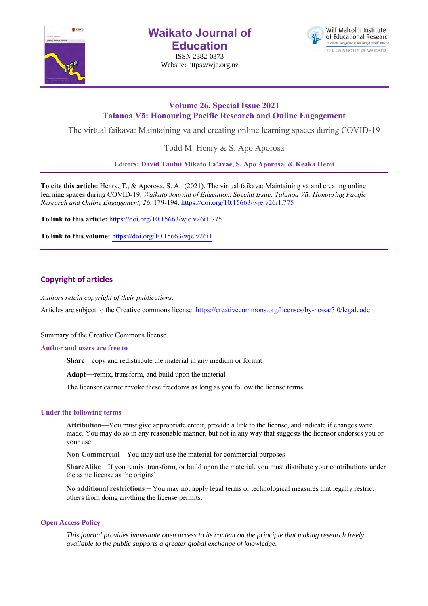

**Waikato Journal of Education**

ISSN 2382-0373 Website: https://wje.org.nz



## **Volume 26, Special Issue 2021 Talanoa Vā: Honouring Pacific Research and Online Engagement**

The virtual faikava: Maintaining vā and creating online learning spaces during COVID-19

Todd M. Henry & S. Apo Aporosa

**Editors: David Taufui Mikato Fa'avae, S. Apo Aporosa, & Keaka Hemi**

**To cite this article:** Henry, T., & Aporosa, S. A. (2021). The virtual faikava: Maintaining vā and creating online learning spaces during COVID-19. *Waikato Journal of Education. Special Issue: Talanoa Vā: Honouring Pacific Research and Online Engagement, 26*, 179-194. https://doi.org/10.15663/wje.v26i1.775

**To link to this article:** https://doi.org/10.15663/wje.v26i1.775

**To link to this volume:** https://doi.org/10.15663/wje.v26i1

## **Copyright of articles**

*Authors retain copyright of their publications.*

Articles are subject to the Creative commons license: https://creativecommons.org/licenses/by-nc-sa/3.0/legalcode

Summary of the Creative Commons license.

## **Author and users are free to**

**Share**—copy and redistribute the material in any medium or format

**Adapt**—remix, transform, and build upon the material

The licensor cannot revoke these freedoms as long as you follow the license terms.

## **Under the following terms**

**Attribution**—You must give appropriate credit, provide a link to the license, and indicate if changes were made. You may do so in any reasonable manner, but not in any way that suggests the licensor endorses you or your use

**Non-Commercial**—You may not use the material for commercial purposes

**ShareAlike**—If you remix, transform, or build upon the material, you must distribute your contributions under the same license as the original

**No additional restrictions** – You may not apply legal terms or technological measures that legally restrict others from doing anything the license permits.

## **Open Access Policy**

*This journal provides immediate open access to its content on the principle that making research freely available to the public supports a greater global exchange of knowledge.*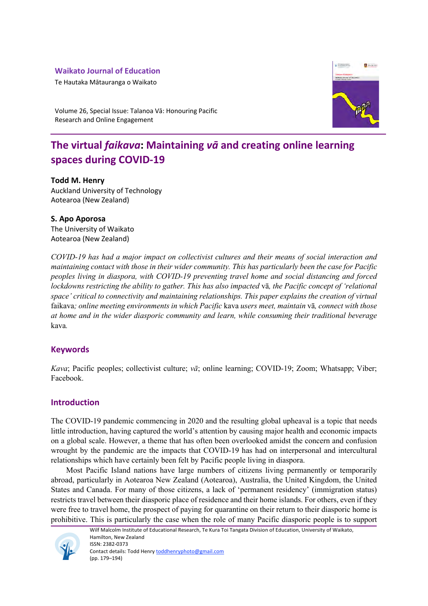## **Waikato Journal of Education**

Te Hautaka Mātauranga o Waikato



Volume 26, Special Issue: Talanoa Vā: Honouring Pacific Research and Online Engagement

# **The virtual** *faikava***: Maintaining** *vā* **and creating online learning spaces during COVID-19**

## **Todd M. Henry**

Auckland University of Technology Aotearoa (New Zealand)

## **S. Apo Aporosa**

The University of Waikato Aotearoa (New Zealand)

*COVID-19 has had a major impact on collectivist cultures and their means of social interaction and maintaining contact with those in their wider community. This has particularly been the case for Pacific peoples living in diaspora, with COVID-19 preventing travel home and social distancing and forced lockdowns restricting the ability to gather. This has also impacted* vā*, the Pacific concept of 'relational space' critical to connectivity and maintaining relationships. This paper explains the creation of virtual*  faikava*; online meeting environments in which Pacific* kava *users meet, maintain* vā*, connect with those at home and in the wider diasporic community and learn, while consuming their traditional beverage*  kava*.* 

## **Keywords**

*Kava*; Pacific peoples; collectivist culture; *vā*; online learning; COVID-19; Zoom; Whatsapp; Viber; Facebook.

## **Introduction**

The COVID-19 pandemic commencing in 2020 and the resulting global upheaval is a topic that needs little introduction, having captured the world's attention by causing major health and economic impacts on a global scale. However, a theme that has often been overlooked amidst the concern and confusion wrought by the pandemic are the impacts that COVID-19 has had on interpersonal and intercultural relationships which have certainly been felt by Pacific people living in diaspora.

Most Pacific Island nations have large numbers of citizens living permanently or temporarily abroad, particularly in Aotearoa New Zealand (Aotearoa), Australia, the United Kingdom, the United States and Canada. For many of those citizens, a lack of 'permanent residency' (immigration status) restricts travel between their diasporic place of residence and their home islands. For others, even if they were free to travel home, the prospect of paying for quarantine on their return to their diasporic home is prohibitive. This is particularly the case when the role of many Pacific diasporic people is to support



Wilf Malcolm Institute of Educational Research, Te Kura Toi Tangata Division of Education, University of Waikato, Hamilton, New Zealand ISSN: 2382-0373 Contact details: Todd Henry toddhenryphoto@gmail.com (pp. 179–194)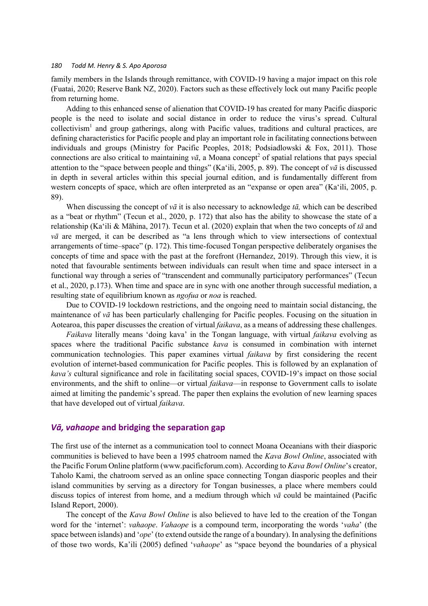family members in the Islands through remittance, with COVID-19 having a major impact on this role (Fuatai, 2020; Reserve Bank NZ, 2020). Factors such as these effectively lock out many Pacific people from returning home.

Adding to this enhanced sense of alienation that COVID-19 has created for many Pacific diasporic people is the need to isolate and social distance in order to reduce the virus's spread. Cultural collectivism<sup>1</sup> and group gatherings, along with Pacific values, traditions and cultural practices, are defining characteristics for Pacific people and play an important role in facilitating connections between individuals and groups (Ministry for Pacific Peoples, 2018; Podsiadlowski & Fox, 2011). Those connections are also critical to maintaining  $v\bar{a}$ , a Moana concept<sup>2</sup> of spatial relations that pays special attention to the "space between people and things" (Ka'ili, 2005, p. 89). The concept of *vā* is discussed in depth in several articles within this special journal edition, and is fundamentally different from western concepts of space, which are often interpreted as an "expanse or open area" (Ka'ili, 2005, p. 89).

When discussing the concept of *vā* it is also necessary to acknowledge *tā,* which can be described as a "beat or rhythm" (Tecun et al., 2020, p. 172) that also has the ability to showcase the state of a relationship (Ka'ili & Māhina, 2017). Tecun et al. (2020) explain that when the two concepts of *tā* and *vā* are merged, it can be described as "a lens through which to view intersections of contextual arrangements of time–space" (p. 172). This time-focused Tongan perspective deliberately organises the concepts of time and space with the past at the forefront (Hernandez, 2019). Through this view, it is noted that favourable sentiments between individuals can result when time and space intersect in a functional way through a series of "transcendent and communally participatory performances" (Tecun et al., 2020, p.173). When time and space are in sync with one another through successful mediation, a resulting state of equilibrium known as *ngofua* or *noa* is reached.

Due to COVID-19 lockdown restrictions, and the ongoing need to maintain social distancing, the maintenance of *vā* has been particularly challenging for Pacific peoples. Focusing on the situation in Aotearoa, this paper discusses the creation of virtual *faikava*, as a means of addressing these challenges.

*Faikava* literally means 'doing kava' in the Tongan language, with virtual *faikava* evolving as spaces where the traditional Pacific substance *kava* is consumed in combination with internet communication technologies. This paper examines virtual *faikava* by first considering the recent evolution of internet-based communication for Pacific peoples. This is followed by an explanation of *kava's* cultural significance and role in facilitating social spaces, COVID-19's impact on those social environments, and the shift to online—or virtual *faikava*—in response to Government calls to isolate aimed at limiting the pandemic's spread. The paper then explains the evolution of new learning spaces that have developed out of virtual *faikava*.

#### *Vā, vahaope* **and bridging the separation gap**

The first use of the internet as a communication tool to connect Moana Oceanians with their diasporic communities is believed to have been a 1995 chatroom named the *Kava Bowl Online*, associated with the Pacific Forum Online platform (www.pacificforum.com). According to *Kava Bowl Online*'s creator, Taholo Kami, the chatroom served as an online space connecting Tongan diasporic peoples and their island communities by serving as a directory for Tongan businesses, a place where members could discuss topics of interest from home, and a medium through which *vā* could be maintained (Pacific Island Report, 2000).

The concept of the *Kava Bowl Online* is also believed to have led to the creation of the Tongan word for the 'internet': *vahaope*. *Vahaope* is a compound term, incorporating the words '*vaha*' (the space between islands) and '*ope*' (to extend outside the range of a boundary). In analysing the definitions of those two words, Ka'ili (2005) defined '*vahaope*' as "space beyond the boundaries of a physical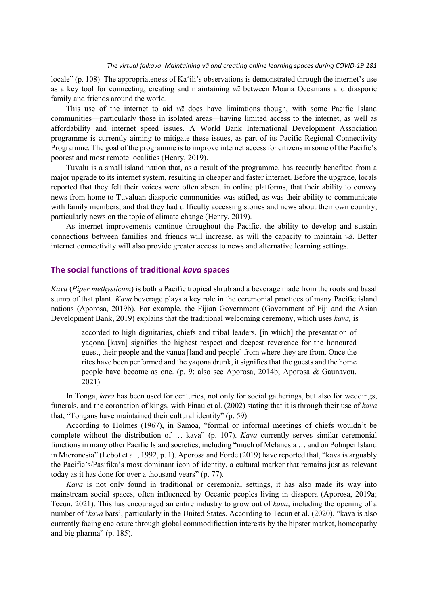locale" (p. 108). The appropriateness of Ka'ili's observations is demonstrated through the internet's use as a key tool for connecting, creating and maintaining *vā* between Moana Oceanians and diasporic family and friends around the world.

This use of the internet to aid *vā* does have limitations though, with some Pacific Island communities—particularly those in isolated areas—having limited access to the internet, as well as affordability and internet speed issues. A World Bank International Development Association programme is currently aiming to mitigate these issues, as part of its Pacific Regional Connectivity Programme. The goal of the programme is to improve internet access for citizens in some of the Pacific's poorest and most remote localities (Henry, 2019).

Tuvalu is a small island nation that, as a result of the programme, has recently benefited from a major upgrade to its internet system, resulting in cheaper and faster internet. Before the upgrade, locals reported that they felt their voices were often absent in online platforms, that their ability to convey news from home to Tuvaluan diasporic communities was stifled, as was their ability to communicate with family members, and that they had difficulty accessing stories and news about their own country, particularly news on the topic of climate change (Henry, 2019).

As internet improvements continue throughout the Pacific, the ability to develop and sustain connections between families and friends will increase, as will the capacity to maintain *vā*. Better internet connectivity will also provide greater access to news and alternative learning settings.

### **The social functions of traditional** *kava* **spaces**

*Kava* (*Piper methysticum*) is both a Pacific tropical shrub and a beverage made from the roots and basal stump of that plant. *Kava* beverage plays a key role in the ceremonial practices of many Pacific island nations (Aporosa, 2019b). For example, the Fijian Government (Government of Fiji and the Asian Development Bank, 2019) explains that the traditional welcoming ceremony, which uses *kava,* is

accorded to high dignitaries, chiefs and tribal leaders, [in which] the presentation of yaqona [kava] signifies the highest respect and deepest reverence for the honoured guest, their people and the vanua [land and people] from where they are from. Once the rites have been performed and the yaqona drunk, it signifies that the guests and the home people have become as one. (p. 9; also see Aporosa, 2014b; Aporosa & Gaunavou, 2021)

In Tonga, *kava* has been used for centuries, not only for social gatherings, but also for weddings, funerals, and the coronation of kings, with Finau et al. (2002) stating that it is through their use of *kava* that, "Tongans have maintained their cultural identity" (p. 59).

According to Holmes (1967), in Samoa, "formal or informal meetings of chiefs wouldn't be complete without the distribution of … kava" (p. 107). *Kava* currently serves similar ceremonial functions in many other Pacific Island societies, including "much of Melanesia … and on Pohnpei Island in Micronesia" (Lebot et al., 1992, p. 1). Aporosa and Forde (2019) have reported that, "kava is arguably the Pacific's/Pasifika's most dominant icon of identity, a cultural marker that remains just as relevant today as it has done for over a thousand years" (p. 77).

*Kava* is not only found in traditional or ceremonial settings, it has also made its way into mainstream social spaces, often influenced by Oceanic peoples living in diaspora (Aporosa, 2019a; Tecun, 2021). This has encouraged an entire industry to grow out of *kava*, including the opening of a number of '*kava* bars', particularly in the United States. According to Tecun et al. (2020), "kava is also currently facing enclosure through global commodification interests by the hipster market, homeopathy and big pharma" (p. 185).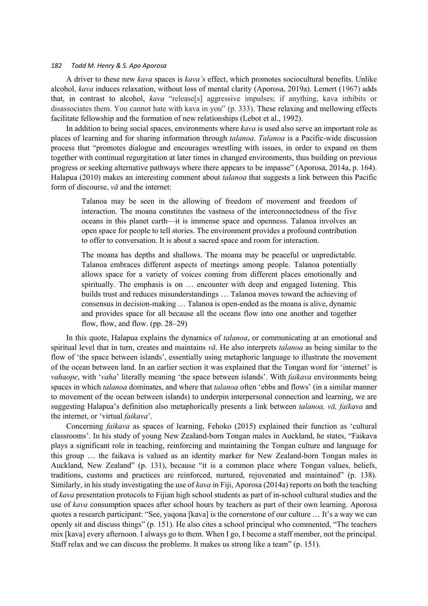A driver to these new *kava* spaces is *kava's* effect, which promotes sociocultural benefits. Unlike alcohol, *kava* induces relaxation, without loss of mental clarity (Aporosa, 2019a). Lemert (1967) adds that, in contrast to alcohol, *kava* "release[s] aggressive impulses; if anything, kava inhibits or disassociates them. You cannot hate with kava in you" (p. 333). These relaxing and mellowing effects facilitate fellowship and the formation of new relationships (Lebot et al., 1992).

In addition to being social spaces, environments where *kava* is used also serve an important role as places of learning and for sharing information through *talanoa*. *Talanoa* is a Pacific-wide discussion process that "promotes dialogue and encourages wrestling with issues, in order to expand on them together with continual regurgitation at later times in changed environments, thus building on previous progress or seeking alternative pathways where there appears to be impasse" (Aporosa, 2014a, p. 164). Halapua (2010) makes an interesting comment about *talanoa* that suggests a link between this Pacific form of discourse, *vā* and the internet:

Talanoa may be seen in the allowing of freedom of movement and freedom of interaction. The moana constitutes the vastness of the interconnectedness of the five oceans in this planet earth—it is immense space and openness. Talanoa involves an open space for people to tell stories. The environment provides a profound contribution to offer to conversation. It is about a sacred space and room for interaction.

The moana has depths and shallows. The moana may be peaceful or unpredictable. Talanoa embraces different aspects of meetings among people. Talanoa potentially allows space for a variety of voices coming from different places emotionally and spiritually. The emphasis is on … encounter with deep and engaged listening. This builds trust and reduces misunderstandings … Talanoa moves toward the achieving of consensus in decision-making … Talanoa is open-ended as the moana is alive, dynamic and provides space for all because all the oceans flow into one another and together flow, flow, and flow. (pp. 28–29)

In this quote, Halapua explains the dynamics of *talanoa*, or communicating at an emotional and spiritual level that in turn, creates and maintains *vā*. He also interprets *talanoa* as being similar to the flow of 'the space between islands', essentially using metaphoric language to illustrate the movement of the ocean between land. In an earlier section it was explained that the Tongan word for 'internet' is *vahaope*, with '*vaha*' literally meaning 'the space between islands'. With *faikava* environments being spaces in which *talanoa* dominates, and where that *talanoa* often 'ebbs and flows' (in a similar manner to movement of the ocean between islands) to underpin interpersonal connection and learning, we are suggesting Halapua's definition also metaphorically presents a link between *talanoa, vā, faikava* and the internet, or 'virtual *faikava*'.

Concerning *faikava* as spaces of learning, Fehoko (2015) explained their function as 'cultural classrooms'. In his study of young New Zealand-born Tongan males in Auckland, he states, "Faikava plays a significant role in teaching, reinforcing and maintaining the Tongan culture and language for this group … the faikava is valued as an identity marker for New Zealand-born Tongan males in Auckland, New Zealand" (p. 131), because "it is a common place where Tongan values, beliefs, traditions, customs and practices are reinforced, nurtured, rejuvenated and maintained" (p. 138). Similarly, in his study investigating the use of *kava* in Fiji, Aporosa (2014a) reports on both the teaching of *kava* presentation protocols to Fijian high school students as part of in-school cultural studies and the use of *kava* consumption spaces after school hours by teachers as part of their own learning. Aporosa quotes a research participant: "See, yaqona [kava] is the cornerstone of our culture … It's a way we can openly sit and discuss things" (p. 151). He also cites a school principal who commented, "The teachers mix [kava] every afternoon. I always go to them. When I go, I become a staff member, not the principal. Staff relax and we can discuss the problems. It makes us strong like a team" (p. 151).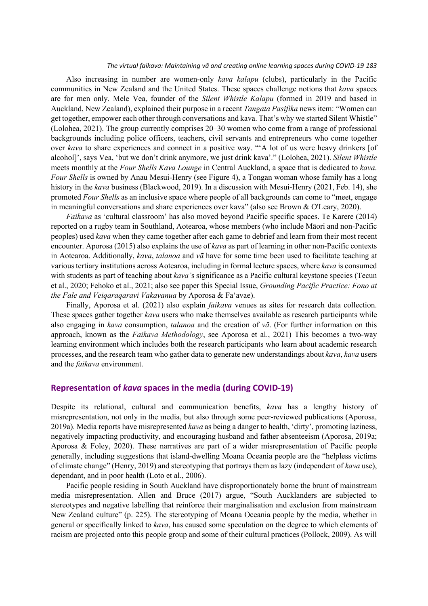Also increasing in number are women-only *kava kalapu* (clubs), particularly in the Pacific communities in New Zealand and the United States. These spaces challenge notions that *kava* spaces are for men only. Mele Vea, founder of the *Silent Whistle Kalapu* (formed in 2019 and based in Auckland, New Zealand), explained their purpose in a recent *Tangata Pasifika* news item: "Women can get together, empower each other through conversations and kava. That's why we started Silent Whistle" (Lolohea, 2021). The group currently comprises 20–30 women who come from a range of professional backgrounds including police officers, teachers, civil servants and entrepreneurs who come together over *kava* to share experiences and connect in a positive way. "'A lot of us were heavy drinkers [of alcohol]', says Vea, 'but we don't drink anymore, we just drink kava'." (Lolohea, 2021). *Silent Whistle* meets monthly at the *Four Shells Kava Lounge* in Central Auckland, a space that is dedicated to *kava*. *Four Shells* is owned by Anau Mesui-Henry (see Figure 4), a Tongan woman whose family has a long history in the *kava* business (Blackwood, 2019). In a discussion with Mesui-Henry (2021, Feb. 14), she promoted *Four Shells* as an inclusive space where people of all backgrounds can come to "meet, engage in meaningful conversations and share experiences over kava" (also see Brown & O'Leary, 2020).

*Faikava* as 'cultural classroom' has also moved beyond Pacific specific spaces. Te Karere (2014) reported on a rugby team in Southland, Aotearoa, whose members (who include Māori and non-Pacific peoples) used *kava* when they came together after each game to debrief and learn from their most recent encounter. Aporosa (2015) also explains the use of *kava* as part of learning in other non-Pacific contexts in Aotearoa. Additionally, *kava*, *talanoa* and *vā* have for some time been used to facilitate teaching at various tertiary institutions across Aotearoa, including in formal lecture spaces, where *kava* is consumed with students as part of teaching about *kava'*s significance as a Pacific cultural keystone species (Tecun et al., 2020; Fehoko et al., 2021; also see paper this Special Issue, *Grounding Pacific Practice: Fono at the Fale and Veiqaraqaravi Vakavanua* by Aporosa & Fa'avae).

Finally, Aporosa et al. (2021) also explain *faikava* venues as sites for research data collection. These spaces gather together *kava* users who make themselves available as research participants while also engaging in *kava* consumption, *talanoa* and the creation of *vā*. (For further information on this approach, known as the *Faikava Methodology*, see Aporosa et al., 2021) This becomes a two-way learning environment which includes both the research participants who learn about academic research processes, and the research team who gather data to generate new understandings about *kava*, *kava* users and the *faikava* environment.

### **Representation of** *kava* **spaces in the media (during COVID-19)**

Despite its relational, cultural and communication benefits, *kava* has a lengthy history of misrepresentation, not only in the media, but also through some peer-reviewed publications (Aporosa, 2019a). Media reports have misrepresented *kava* as being a danger to health, 'dirty', promoting laziness, negatively impacting productivity, and encouraging husband and father absenteeism (Aporosa, 2019a; Aporosa & Foley, 2020). These narratives are part of a wider misrepresentation of Pacific people generally, including suggestions that island-dwelling Moana Oceania people are the "helpless victims of climate change" (Henry, 2019) and stereotyping that portrays them as lazy (independent of *kava* use), dependant, and in poor health (Loto et al., 2006).

Pacific people residing in South Auckland have disproportionately borne the brunt of mainstream media misrepresentation. Allen and Bruce (2017) argue, "South Aucklanders are subjected to stereotypes and negative labelling that reinforce their marginalisation and exclusion from mainstream New Zealand culture" (p. 225). The stereotyping of Moana Oceania people by the media, whether in general or specifically linked to *kava*, has caused some speculation on the degree to which elements of racism are projected onto this people group and some of their cultural practices (Pollock, 2009). As will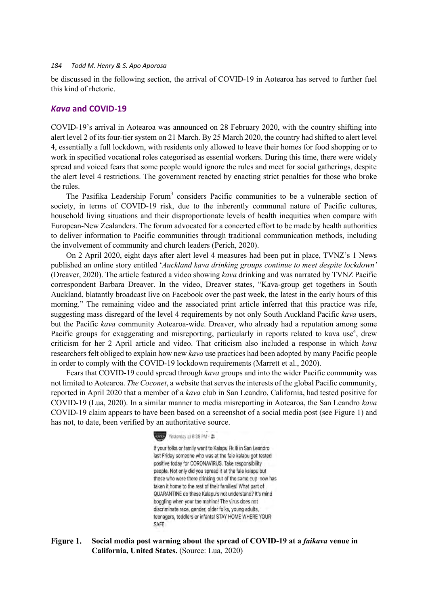be discussed in the following section, the arrival of COVID-19 in Aotearoa has served to further fuel this kind of rhetoric.

## *Kava* **and COVID-19**

COVID-19's arrival in Aotearoa was announced on 28 February 2020, with the country shifting into alert level 2 of its four-tier system on 21 March. By 25 March 2020, the country had shifted to alert level 4, essentially a full lockdown, with residents only allowed to leave their homes for food shopping or to work in specified vocational roles categorised as essential workers. During this time, there were widely spread and voiced fears that some people would ignore the rules and meet for social gatherings, despite the alert level 4 restrictions. The government reacted by enacting strict penalties for those who broke the rules.

The Pasifika Leadership Forum<sup>3</sup> considers Pacific communities to be a vulnerable section of society, in terms of COVID-19 risk, due to the inherently communal nature of Pacific cultures, household living situations and their disproportionate levels of health inequities when compare with European-New Zealanders. The forum advocated for a concerted effort to be made by health authorities to deliver information to Pacific communities through traditional communication methods, including the involvement of community and church leaders (Perich, 2020).

On 2 April 2020, eight days after alert level 4 measures had been put in place, TVNZ's 1 News published an online story entitled '*Auckland kava drinking groups continue to meet despite lockdown'* (Dreaver, 2020). The article featured a video showing *kava* drinking and was narrated by TVNZ Pacific correspondent Barbara Dreaver. In the video, Dreaver states, "Kava-group get togethers in South Auckland, blatantly broadcast live on Facebook over the past week, the latest in the early hours of this morning." The remaining video and the associated print article inferred that this practice was rife, suggesting mass disregard of the level 4 requirements by not only South Auckland Pacific *kava* users, but the Pacific *kava* community Aotearoa-wide. Dreaver, who already had a reputation among some Pacific groups for exaggerating and misreporting, particularly in reports related to kava use<sup>4</sup>, drew criticism for her 2 April article and video. That criticism also included a response in which *kava* researchers felt obliged to explain how new *kava* use practices had been adopted by many Pacific people in order to comply with the COVID-19 lockdown requirements (Marrett et al., 2020).

Fears that COVID-19 could spread through *kava* groups and into the wider Pacific community was not limited to Aotearoa. *The Coconet*, a website that serves the interests of the global Pacific community, reported in April 2020 that a member of a *kava* club in San Leandro, California, had tested positive for COVID-19 (Lua, 2020). In a similar manner to media misreporting in Aotearoa, the San Leandro *kava*  COVID-19 claim appears to have been based on a screenshot of a social media post (see Figure 1) and has not, to date, been verified by an authoritative source.



If your folks or family went to Kalapu Fk Ili in San Leandro last Friday someone who was at the fale kalapu got tested positive today for CORONAVIRUS. Take responsibility people. Not only did you spread it at the fale kalapu but those who were there drinking out of the same cup now has taken it home to the rest of their families! What part of QUARANTINE do these Kalapu's not understand? It's mind boggling when your tae mahino! The virus does not discriminate race, gender, older folks, young adults, teenagers, toddlers or infants! STAY HOME WHERE YOUR SAFE.

#### Figure 1. **Social media post warning about the spread of COVID-19 at a** *faikava* **venue in California, United States.** (Source: Lua, 2020)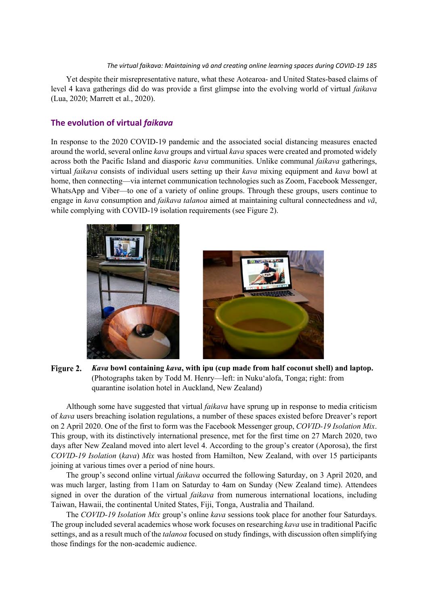Yet despite their misrepresentative nature, what these Aotearoa- and United States-based claims of level 4 kava gatherings did do was provide a first glimpse into the evolving world of virtual *faikava*  (Lua, 2020; Marrett et al., 2020).

## **The evolution of virtual** *faikava*

In response to the 2020 COVID-19 pandemic and the associated social distancing measures enacted around the world, several online *kava* groups and virtual *kava* spaces were created and promoted widely across both the Pacific Island and diasporic *kava* communities. Unlike communal *faikava* gatherings, virtual *faikava* consists of individual users setting up their *kava* mixing equipment and *kava* bowl at home, then connecting—via internet communication technologies such as Zoom, Facebook Messenger, WhatsApp and Viber—to one of a variety of online groups. Through these groups, users continue to engage in *kava* consumption and *faikava talanoa* aimed at maintaining cultural connectedness and *vā*, while complying with COVID-19 isolation requirements (see Figure 2).



Figure 2. *Kava* **bowl containing** *kava***, with ipu (cup made from half coconut shell) and laptop.**  (Photographs taken by Todd M. Henry—left: in Nuku'alofa, Tonga; right: from quarantine isolation hotel in Auckland, New Zealand)

Although some have suggested that virtual *faikava* have sprung up in response to media criticism of *kava* users breaching isolation regulations, a number of these spaces existed before Dreaver's report on 2 April 2020. One of the first to form was the Facebook Messenger group, *COVID-19 Isolation Mix*. This group, with its distinctively international presence, met for the first time on 27 March 2020, two days after New Zealand moved into alert level 4. According to the group's creator (Aporosa), the first *COVID-19 Isolation* (*kava*) *Mix* was hosted from Hamilton, New Zealand, with over 15 participants joining at various times over a period of nine hours.

The group's second online virtual *faikava* occurred the following Saturday, on 3 April 2020, and was much larger, lasting from 11am on Saturday to 4am on Sunday (New Zealand time). Attendees signed in over the duration of the virtual *faikava* from numerous international locations, including Taiwan, Hawaii, the continental United States, Fiji, Tonga, Australia and Thailand.

The *COVID-19 Isolation Mix* group's online *kava* sessions took place for another four Saturdays. The group included several academics whose work focuses on researching *kava* use in traditional Pacific settings, and as a result much of the *talanoa* focused on study findings, with discussion often simplifying those findings for the non-academic audience.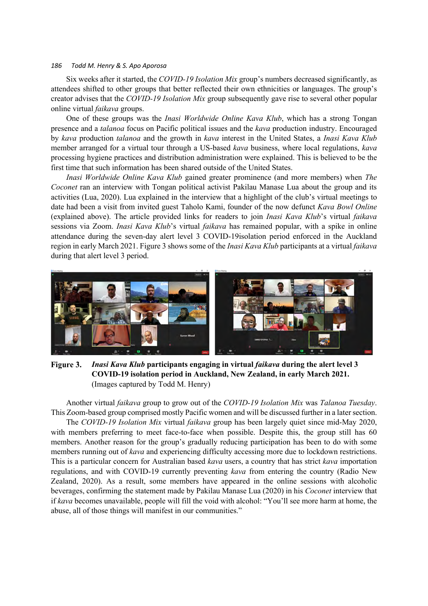Six weeks after it started, the *COVID-19 Isolation Mix* group's numbers decreased significantly, as attendees shifted to other groups that better reflected their own ethnicities or languages. The group's creator advises that the *COVID-19 Isolation Mix* group subsequently gave rise to several other popular online virtual *faikava* groups.

One of these groups was the *Inasi Worldwide Online Kava Klub*, which has a strong Tongan presence and a *talanoa* focus on Pacific political issues and the *kava* production industry. Encouraged by *kava* production *talanoa* and the growth in *kava* interest in the United States, a *Inasi Kava Klub* member arranged for a virtual tour through a US-based *kava* business, where local regulations, *kava* processing hygiene practices and distribution administration were explained. This is believed to be the first time that such information has been shared outside of the United States.

*Inasi Worldwide Online Kava Klub* gained greater prominence (and more members) when *The Coconet* ran an interview with Tongan political activist Pakilau Manase Lua about the group and its activities (Lua, 2020). Lua explained in the interview that a highlight of the club's virtual meetings to date had been a visit from invited guest Taholo Kami, founder of the now defunct *Kava Bowl Online* (explained above). The article provided links for readers to join *Inasi Kava Klub*'s virtual *faikava* sessions via Zoom. *Inasi Kava Klub*'s virtual *faikava* has remained popular, with a spike in online attendance during the seven-day alert level 3 COVID-19isolation period enforced in the Auckland region in early March 2021. Figure 3 shows some of the *Inasi Kava Klub* participants at a virtual *faikava* during that alert level 3 period.



Figure 3. *Inasi Kava Klub* **participants engaging in virtual** *faikava* **during the alert level 3 COVID-19 isolation period in Auckland, New Zealand, in early March 2021.**  (Images captured by Todd M. Henry)

Another virtual *faikava* group to grow out of the *COVID-19 Isolation Mix* was *Talanoa Tuesday*. This Zoom-based group comprised mostly Pacific women and will be discussed further in a later section. The *COVID-19 Isolation Mix* virtual *faikava* group has been largely quiet since mid-May 2020, with members preferring to meet face-to-face when possible. Despite this, the group still has 60 members. Another reason for the group's gradually reducing participation has been to do with some members running out of *kava* and experiencing difficulty accessing more due to lockdown restrictions. This is a particular concern for Australian based *kava* users, a country that has strict *kava* importation regulations, and with COVID-19 currently preventing *kava* from entering the country (Radio New Zealand, 2020). As a result, some members have appeared in the online sessions with alcoholic beverages, confirming the statement made by Pakilau Manase Lua (2020) in his *Coconet* interview that if *kava* becomes unavailable, people will fill the void with alcohol: "You'll see more harm at home, the abuse, all of those things will manifest in our communities."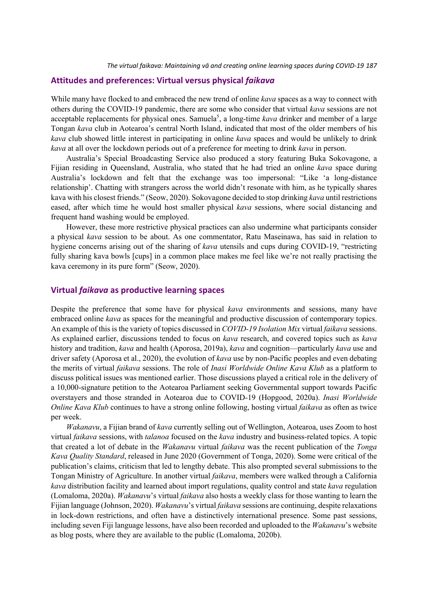#### **Attitudes and preferences: Virtual versus physical** *faikava*

While many have flocked to and embraced the new trend of online *kava* spaces as a way to connect with others during the COVID-19 pandemic, there are some who consider that virtual *kava* sessions are not acceptable replacements for physical ones. Samuela<sup>5</sup>, a long-time *kava* drinker and member of a large Tongan *kava* club in Aotearoa's central North Island, indicated that most of the older members of his *kava* club showed little interest in participating in online *kava* spaces and would be unlikely to drink *kava* at all over the lockdown periods out of a preference for meeting to drink *kava* in person.

Australia's Special Broadcasting Service also produced a story featuring Buka Sokovagone, a Fijian residing in Queensland, Australia, who stated that he had tried an online *kava* space during Australia's lockdown and felt that the exchange was too impersonal: "Like 'a long-distance relationship'. Chatting with strangers across the world didn't resonate with him, as he typically shares kava with his closest friends." (Seow, 2020). Sokovagone decided to stop drinking *kava* until restrictions eased, after which time he would host smaller physical *kava* sessions, where social distancing and frequent hand washing would be employed.

However, these more restrictive physical practices can also undermine what participants consider a physical *kava* session to be about. As one commentator, Ratu Maseinawa, has said in relation to hygiene concerns arising out of the sharing of *kava* utensils and cups during COVID-19, "restricting fully sharing kava bowls [cups] in a common place makes me feel like we're not really practising the kava ceremony in its pure form" (Seow, 2020).

## **Virtual** *faikava* **as productive learning spaces**

Despite the preference that some have for physical *kava* environments and sessions, many have embraced online *kava* as spaces for the meaningful and productive discussion of contemporary topics. An example of this is the variety of topics discussed in *COVID-19 Isolation Mix* virtual *faikava* sessions. As explained earlier, discussions tended to focus on *kava* research, and covered topics such as *kava* history and tradition, *kava* and health (Aporosa, 2019a), *kava* and cognition—particularly *kava* use and driver safety (Aporosa et al., 2020), the evolution of *kava* use by non-Pacific peoples and even debating the merits of virtual *faikava* sessions. The role of *Inasi Worldwide Online Kava Klub* as a platform to discuss political issues was mentioned earlier. Those discussions played a critical role in the delivery of a 10,000-signature petition to the Aotearoa Parliament seeking Governmental support towards Pacific overstayers and those stranded in Aotearoa due to COVID-19 (Hopgood, 2020a). *Inasi Worldwide Online Kava Klub* continues to have a strong online following, hosting virtual *faikava* as often as twice per week.

*Wakanavu*, a Fijian brand of *kava* currently selling out of Wellington, Aotearoa, uses Zoom to host virtual *faikava* sessions, with *talanoa* focused on the *kava* industry and business-related topics. A topic that created a lot of debate in the *Wakanavu* virtual *faikava* was the recent publication of the *Tonga Kava Quality Standard*, released in June 2020 (Government of Tonga, 2020). Some were critical of the publication's claims, criticism that led to lengthy debate. This also prompted several submissions to the Tongan Ministry of Agriculture. In another virtual *faikava*, members were walked through a California *kava* distribution facility and learned about import regulations, quality control and state *kava* regulation (Lomaloma, 2020a). *Wakanavu*'s virtual *faikava* also hosts a weekly class for those wanting to learn the Fijian language (Johnson, 2020). *Wakanavu*'s virtual *faikava* sessions are continuing, despite relaxations in lock-down restrictions, and often have a distinctively international presence. Some past sessions, including seven Fiji language lessons, have also been recorded and uploaded to the *Wakanavu*'s website as blog posts, where they are available to the public (Lomaloma, 2020b).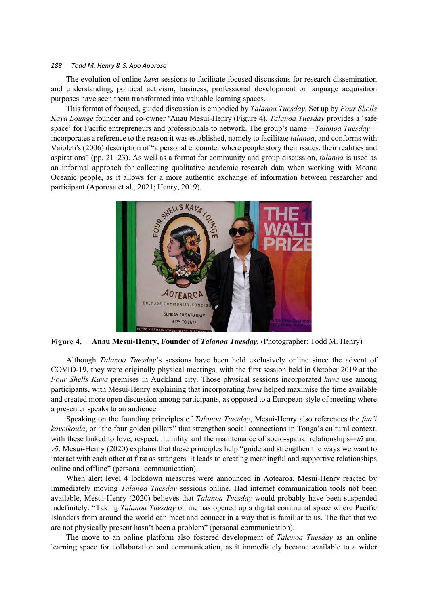The evolution of online *kava* sessions to facilitate focused discussions for research dissemination and understanding, political activism, business, professional development or language acquisition purposes have seen them transformed into valuable learning spaces.

This format of focused, guided discussion is embodied by *Talanoa Tuesday*. Set up by *Four Shells Kava Lounge* founder and co-owner 'Anau Mesui-Henry (Figure 4). *Talanoa Tuesday* provides a 'safe space' for Pacific entrepreneurs and professionals to network. The group's name—*Talanoa Tuesday* incorporates a reference to the reason it was established, namely to facilitate *talanoa*, and conforms with Vaioleti's (2006) description of "a personal encounter where people story their issues, their realities and aspirations" (pp. 21–23). As well as a format for community and group discussion, *talanoa* is used as an informal approach for collecting qualitative academic research data when working with Moana Oceanic people, as it allows for a more authentic exchange of information between researcher and participant (Aporosa et al., 2021; Henry, 2019).



Figure 4. **Anau Mesui-Henry, Founder of** *Talanoa Tuesday.* (Photographer: Todd M. Henry)

Although *Talanoa Tuesday*'s sessions have been held exclusively online since the advent of COVID-19, they were originally physical meetings, with the first session held in October 2019 at the *Four Shells Kava* premises in Auckland city. Those physical sessions incorporated *kava* use among participants, with Mesui-Henry explaining that incorporating *kava* helped maximise the time available and created more open discussion among participants, as opposed to a European-style of meeting where a presenter speaks to an audience.

Speaking on the founding principles of *Talanoa Tuesday*, Mesui-Henry also references the *faa'i kaveikoula*, or "the four golden pillars" that strengthen social connections in Tonga's cultural context, with these linked to love, respect, humility and the maintenance of socio-spatial relationships—*tā* and *vā*. Mesui-Henry (2020) explains that these principles help "guide and strengthen the ways we want to interact with each other at first as strangers. It leads to creating meaningful and supportive relationships online and offline" (personal communication).

When alert level 4 lockdown measures were announced in Aotearoa, Mesui-Henry reacted by immediately moving *Talanoa Tuesday* sessions online. Had internet communication tools not been available, Mesui-Henry (2020) believes that *Talanoa Tuesday* would probably have been suspended indefinitely: "Taking *Talanoa Tuesday* online has opened up a digital communal space where Pacific Islanders from around the world can meet and connect in a way that is familiar to us. The fact that we are not physically present hasn't been a problem" (personal communication).

The move to an online platform also fostered development of *Talanoa Tuesday* as an online learning space for collaboration and communication, as it immediately became available to a wider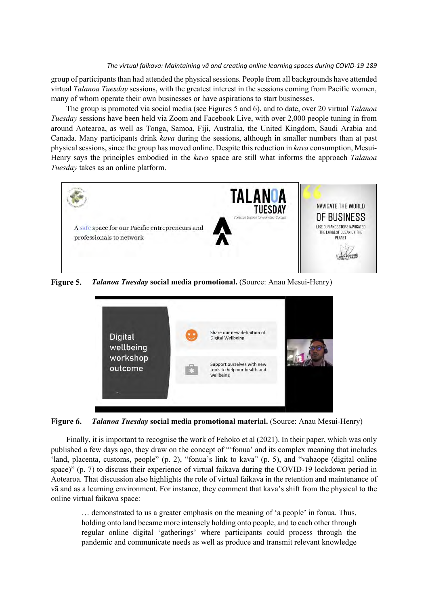group of participants than had attended the physical sessions. People from all backgrounds have attended virtual *Talanoa Tuesday* sessions, with the greatest interest in the sessions coming from Pacific women, many of whom operate their own businesses or have aspirations to start businesses.

The group is promoted via social media (see Figures 5 and 6), and to date, over 20 virtual *Talanoa Tuesday* sessions have been held via Zoom and Facebook Live, with over 2,000 people tuning in from around Aotearoa, as well as Tonga, Samoa, Fiji, Australia, the United Kingdom, Saudi Arabia and Canada. Many participants drink *kava* during the sessions, although in smaller numbers than at past physical sessions, since the group has moved online. Despite this reduction in *kava* consumption, Mesui-Henry says the principles embodied in the *kava* space are still what informs the approach *Talanoa Tuesday* takes as an online platform.



Figure 5. *Talanoa Tuesday* **social media promotional.** (Source: Anau Mesui-Henry)



Figure 6. *Talanoa Tuesday* **social media promotional material.** (Source: Anau Mesui-Henry)

Finally, it is important to recognise the work of Fehoko et al (2021). In their paper, which was only published a few days ago, they draw on the concept of "'fonua' and its complex meaning that includes 'land, placenta, customs, people" (p. 2), "fonua's link to kava" (p. 5), and "vahaope (digital online space)" (p. 7) to discuss their experience of virtual faikava during the COVID-19 lockdown period in Aotearoa. That discussion also highlights the role of virtual faikava in the retention and maintenance of vā and as a learning environment. For instance, they comment that kava's shift from the physical to the online virtual faikava space:

… demonstrated to us a greater emphasis on the meaning of 'a people' in fonua. Thus, holding onto land became more intensely holding onto people, and to each other through regular online digital 'gatherings' where participants could process through the pandemic and communicate needs as well as produce and transmit relevant knowledge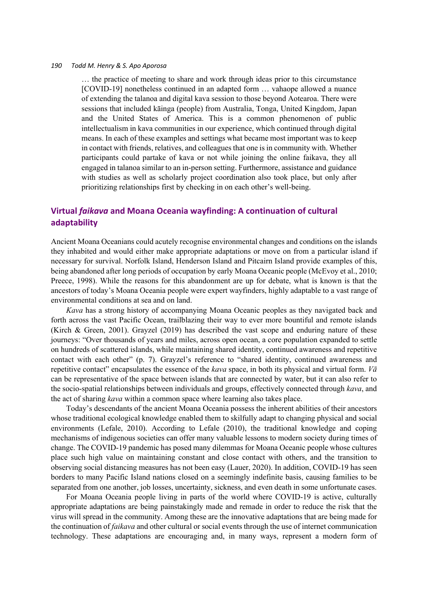… the practice of meeting to share and work through ideas prior to this circumstance [COVID-19] nonetheless continued in an adapted form … vahaope allowed a nuance of extending the talanoa and digital kava session to those beyond Aotearoa. There were sessions that included kāinga (people) from Australia, Tonga, United Kingdom, Japan and the United States of America. This is a common phenomenon of public intellectualism in kava communities in our experience, which continued through digital means. In each of these examples and settings what became most important was to keep in contact with friends, relatives, and colleagues that one is in community with. Whether participants could partake of kava or not while joining the online faikava, they all engaged in talanoa similar to an in-person setting. Furthermore, assistance and guidance with studies as well as scholarly project coordination also took place, but only after prioritizing relationships first by checking in on each other's well-being.

## **Virtual** *faikava* **and Moana Oceania wayfinding: A continuation of cultural adaptability**

Ancient Moana Oceanians could acutely recognise environmental changes and conditions on the islands they inhabited and would either make appropriate adaptations or move on from a particular island if necessary for survival. Norfolk Island, Henderson Island and Pitcairn Island provide examples of this, being abandoned after long periods of occupation by early Moana Oceanic people (McEvoy et al., 2010; Preece, 1998). While the reasons for this abandonment are up for debate, what is known is that the ancestors of today's Moana Oceania people were expert wayfinders, highly adaptable to a vast range of environmental conditions at sea and on land.

*Kava* has a strong history of accompanying Moana Oceanic peoples as they navigated back and forth across the vast Pacific Ocean, trailblazing their way to ever more bountiful and remote islands (Kirch & Green, 2001). Grayzel (2019) has described the vast scope and enduring nature of these journeys: "Over thousands of years and miles, across open ocean, a core population expanded to settle on hundreds of scattered islands, while maintaining shared identity, continued awareness and repetitive contact with each other" (p. 7). Grayzel's reference to "shared identity, continued awareness and repetitive contact" encapsulates the essence of the *kava* space, in both its physical and virtual form. *Vā* can be representative of the space between islands that are connected by water, but it can also refer to the socio-spatial relationships between individuals and groups, effectively connected through *kava*, and the act of sharing *kava* within a common space where learning also takes place.

Today's descendants of the ancient Moana Oceania possess the inherent abilities of their ancestors whose traditional ecological knowledge enabled them to skilfully adapt to changing physical and social environments (Lefale, 2010). According to Lefale (2010), the traditional knowledge and coping mechanisms of indigenous societies can offer many valuable lessons to modern society during times of change. The COVID-19 pandemic has posed many dilemmas for Moana Oceanic people whose cultures place such high value on maintaining constant and close contact with others, and the transition to observing social distancing measures has not been easy (Lauer, 2020). In addition, COVID-19 has seen borders to many Pacific Island nations closed on a seemingly indefinite basis, causing families to be separated from one another, job losses, uncertainty, sickness, and even death in some unfortunate cases.

For Moana Oceania people living in parts of the world where COVID-19 is active, culturally appropriate adaptations are being painstakingly made and remade in order to reduce the risk that the virus will spread in the community. Among these are the innovative adaptations that are being made for the continuation of *faikava* and other cultural or social events through the use of internet communication technology. These adaptations are encouraging and, in many ways, represent a modern form of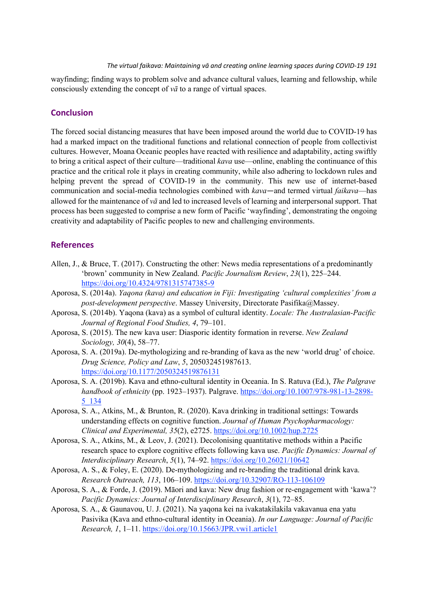wayfinding; finding ways to problem solve and advance cultural values, learning and fellowship, while consciously extending the concept of *vā* to a range of virtual spaces.

## **Conclusion**

The forced social distancing measures that have been imposed around the world due to COVID-19 has had a marked impact on the traditional functions and relational connection of people from collectivist cultures. However, Moana Oceanic peoples have reacted with resilience and adaptability, acting swiftly to bring a critical aspect of their culture—traditional *kava* use—online, enabling the continuance of this practice and the critical role it plays in creating community, while also adhering to lockdown rules and helping prevent the spread of COVID-19 in the community. This new use of internet-based communication and social-media technologies combined with *kava*—and termed virtual *faikava*—has allowed for the maintenance of *vā* and led to increased levels of learning and interpersonal support. That process has been suggested to comprise a new form of Pacific 'wayfinding', demonstrating the ongoing creativity and adaptability of Pacific peoples to new and challenging environments.

## **References**

- Allen, J., & Bruce, T. (2017). Constructing the other: News media representations of a predominantly 'brown' community in New Zealand. *Pacific Journalism Review*, *23*(1), 225–244. https://doi.org/10.4324/9781315747385-9
- Aporosa, S. (2014a). *Yaqona (kava) and education in Fiji: Investigating 'cultural complexities' from a post-development perspective*. Massey University, Directorate Pasifika@Massey.
- Aporosa, S. (2014b). Yaqona (kava) as a symbol of cultural identity. *Locale: The Australasian-Pacific Journal of Regional Food Studies, 4*, 79–101.
- Aporosa, S. (2015). The new kava user: Diasporic identity formation in reverse. *New Zealand Sociology, 30*(4), 58–77.
- Aporosa, S. A. (2019a). De-mythologizing and re-branding of kava as the new 'world drug' of choice. *Drug Science, Policy and Law*, *5*, 205032451987613. https://doi.org/10.1177/2050324519876131
- Aporosa, S. A. (2019b). Kava and ethno-cultural identity in Oceania. In S. Ratuva (Ed.), *The Palgrave handbook of ethnicity* (pp. 1923–1937). Palgrave. https://doi.org/10.1007/978-981-13-2898- 5\_134
- Aporosa, S. A., Atkins, M., & Brunton, R. (2020). Kava drinking in traditional settings: Towards understanding effects on cognitive function. *Journal of Human Psychopharmacology: Clinical and Experimental, 35*(2), e2725. https://doi.org/10.1002/hup.2725
- Aporosa, S. A., Atkins, M., & Leov, J. (2021). Decolonising quantitative methods within a Pacific research space to explore cognitive effects following kava use. *Pacific Dynamics: Journal of Interdisciplinary Research*, *5*(1), 74–92. https://doi.org/10.26021/10642
- Aporosa, A. S., & Foley, E. (2020). De-mythologizing and re-branding the traditional drink kava. *Research Outreach, 113*, 106–109. https://doi.org/10.32907/RO-113-106109
- Aporosa, S. A., & Forde, J. (2019). Māori and kava: New drug fashion or re-engagement with 'kawa'? *Pacific Dynamics: Journal of Interdisciplinary Research*, *3*(1), 72–85.
- Aporosa, S. A., & Gaunavou, U. J. (2021). Na yaqona kei na ivakatakilakila vakavanua ena yatu Pasivika (Kava and ethno-cultural identity in Oceania). *In our Language: Journal of Pacific Research, 1*, 1–11. https://doi.org/10.15663/JPR.vwi1.article1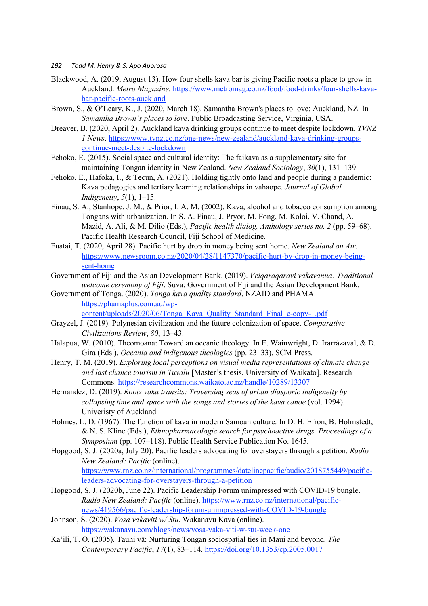- *192 Todd M. Henry & S. Apo Aporosa*
- Blackwood, A. (2019, August 13). How four shells kava bar is giving Pacific roots a place to grow in Auckland. *Metro Magazine*. https://www.metromag.co.nz/food/food-drinks/four-shells-kavabar-pacific-roots-auckland
- Brown, S., & O'Leary, K., J. (2020, March 18). Samantha Brown's places to love: Auckland, NZ. In *Samantha Brown's places to love*. Public Broadcasting Service, Virginia, USA.
- Dreaver, B. (2020, April 2). Auckland kava drinking groups continue to meet despite lockdown. *TVNZ 1 News*. https://www.tvnz.co.nz/one-news/new-zealand/auckland-kava-drinking-groupscontinue-meet-despite-lockdown
- Fehoko, E. (2015). Social space and cultural identity: The faikava as a supplementary site for maintaining Tongan identity in New Zealand. *New Zealand Sociology*, *30*(1), 131–139.
- Fehoko, E., Hafoka, I., & Tecun, A. (2021). Holding tightly onto land and people during a pandemic: Kava pedagogies and tertiary learning relationships in vahaope. *Journal of Global Indigeneity*, *5*(1), 1–15.
- Finau, S. A., Stanhope, J. M., & Prior, I. A. M. (2002). Kava, alcohol and tobacco consumption among Tongans with urbanization. In S. A. Finau, J. Pryor, M. Fong, M. Koloi, V. Chand, A. Mazid, A. Ali, & M. Dilio (Eds.), *Pacific health dialog. Anthology series no. 2* (pp. 59–68). Pacific Health Research Council, Fiji School of Medicine.
- Fuatai, T. (2020, April 28). Pacific hurt by drop in money being sent home. *New Zealand on Air*. https://www.newsroom.co.nz/2020/04/28/1147370/pacific-hurt-by-drop-in-money-beingsent-home
- Government of Fiji and the Asian Development Bank. (2019). *Veiqaraqaravi vakavanua: Traditional welcome ceremony of Fiji*. Suva: Government of Fiji and the Asian Development Bank.
- Government of Tonga. (2020). *Tonga kava quality standard*. NZAID and PHAMA. https://phamaplus.com.au/wpcontent/uploads/2020/06/Tonga\_Kava\_Quality\_Standard\_Final\_e-copy-1.pdf
- Grayzel, J. (2019). Polynesian civilization and the future colonization of space. *Comparative Civilizations Review*, *80*, 13–43.
- Halapua, W. (2010). Theomoana: Toward an oceanic theology. In E. Wainwright, D. Irarrázaval, & D. Gira (Eds.), *Oceania and indigenous theologies* (pp. 23–33). SCM Press.
- Henry, T. M. (2019). *Exploring local perceptions on visual media representations of climate change and last chance tourism in Tuvalu* [Master's thesis, University of Waikato]. Research Commons. https://researchcommons.waikato.ac.nz/handle/10289/13307
- Hernandez, D. (2019). *Rootz vaka transits: Traversing seas of urban diasporic indigeneity by collapsing time and space with the songs and stories of the kava canoe* (vol. 1994). Univeristy of Auckland
- Holmes, L. D. (1967). The function of kava in modern Samoan culture. In D. H. Efron, B. Holmstedt, & N. S. Kline (Eds.), *Ethnopharmacologic search for psychoactive drugs. Proceedings of a Symposium* (pp. 107–118). Public Health Service Publication No. 1645.
- Hopgood, S. J. (2020a, July 20). Pacific leaders advocating for overstayers through a petition. *Radio New Zealand: Pacific* (online). https://www.rnz.co.nz/international/programmes/datelinepacific/audio/2018755449/pacificleaders-advocating-for-overstayers-through-a-petition
- Hopgood, S. J. (2020b, June 22). Pacific Leadership Forum unimpressed with COVID-19 bungle. *Radio New Zealand: Pacific* (online). https://www.rnz.co.nz/international/pacificnews/419566/pacific-leadership-forum-unimpressed-with-COVID-19-bungle
- Johnson, S. (2020). *Vosa vakaviti w/ Stu*. Wakanavu Kava (online). https://wakanavu.com/blogs/news/vosa-vaka-viti-w-stu-week-one
- Ka'ili, T. O. (2005). Tauhi vā: Nurturing Tongan sociospatial ties in Maui and beyond. *The Contemporary Pacific*, *17*(1), 83–114. https://doi.org/10.1353/cp.2005.0017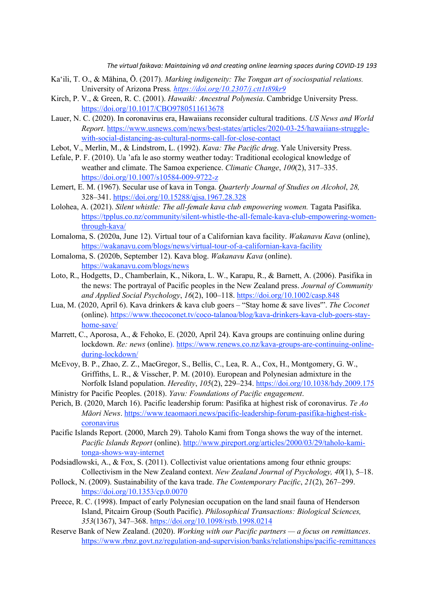- Ka'ili, T. O., & Māhina, Ō. (2017). *Marking indigeneity: The Tongan art of sociospatial relations.*  University of Arizona Press*. https://doi.org/10.2307/j.ctt1t89kr9*
- Kirch, P. V., & Green, R. C. (2001). *Hawaiki: Ancestral Polynesia*. Cambridge University Press. https://doi.org/10.1017/CBO9780511613678
- Lauer, N. C. (2020). In coronavirus era, Hawaiians reconsider cultural traditions. *US News and World Report*. https://www.usnews.com/news/best-states/articles/2020-03-25/hawaiians-strugglewith-social-distancing-as-cultural-norms-call-for-close-contact
- Lebot, V., Merlin, M., & Lindstrom, L. (1992). *Kava: The Pacific drug*. Yale University Press.
- Lefale, P. F. (2010). Ua 'afa le aso stormy weather today: Traditional ecological knowledge of weather and climate. The Samoa experience. *Climatic Change*, *100*(2), 317–335. https://doi.org/10.1007/s10584-009-9722-z
- Lemert, E. M. (1967). Secular use of kava in Tonga. *Quarterly Journal of Studies on Alcohol*, *28,* 328–341. https://doi.org/10.15288/qjsa.1967.28.328
- Lolohea, A. (2021). *Silent whistle: The all-female kava club empowering women*. Tagata Pasifika. https://tpplus.co.nz/community/silent-whistle-the-all-female-kava-club-empowering-womenthrough-kava/
- Lomaloma, S. (2020a, June 12). Virtual tour of a Californian kava facility. *Wakanavu Kava* (online), https://wakanavu.com/blogs/news/virtual-tour-of-a-californian-kava-facility
- Lomaloma, S. (2020b, September 12). Kava blog. *Wakanavu Kava* (online). https://wakanavu.com/blogs/news
- Loto, R., Hodgetts, D., Chamberlain, K., Nikora, L. W., Karapu, R., & Barnett, A. (2006). Pasifika in the news: The portrayal of Pacific peoples in the New Zealand press. *Journal of Community and Applied Social Psychology*, *16*(2), 100–118. https://doi.org/10.1002/casp.848
- Lua, M. (2020, April 6). Kava drinkers & kava club goers "Stay home & save lives'". *The Coconet* (online). https://www.thecoconet.tv/coco-talanoa/blog/kava-drinkers-kava-club-goers-stayhome-save/
- Marrett, C., Aporosa, A., & Fehoko, E. (2020, April 24). Kava groups are continuing online during lockdown. *Re: news* (online). https://www.renews.co.nz/kava-groups-are-continuing-onlineduring-lockdown/
- McEvoy, B. P., Zhao, Z. Z., MacGregor, S., Bellis, C., Lea, R. A., Cox, H., Montgomery, G. W., Griffiths, L. R., & Visscher, P. M. (2010). European and Polynesian admixture in the Norfolk Island population. *Heredity*, *105*(2), 229–234. https://doi.org/10.1038/hdy.2009.175
- Ministry for Pacific Peoples. (2018). *Yavu: Foundations of Pacific engagement*.
- Perich, B. (2020, March 16). Pacific leadership forum: Pasifika at highest risk of coronavirus. *Te Ao Māori News*. https://www.teaomaori.news/pacific-leadership-forum-pasifika-highest-riskcoronavirus
- Pacific Islands Report. (2000, March 29). Taholo Kami from Tonga shows the way of the internet. *Pacific Islands Report* (online). http://www.pireport.org/articles/2000/03/29/taholo-kamitonga-shows-way-internet
- Podsiadlowski, A., & Fox, S. (2011). Collectivist value orientations among four ethnic groups: Collectivism in the New Zealand context. *New Zealand Journal of Psychology, 40*(1), 5–18.
- Pollock, N. (2009). Sustainability of the kava trade. *The Contemporary Pacific*, *21*(2), 267–299. https://doi.org/10.1353/cp.0.0070
- Preece, R. C. (1998). Impact of early Polynesian occupation on the land snail fauna of Henderson Island, Pitcairn Group (South Pacific). *Philosophical Transactions: Biological Sciences, 353*(1367), 347–368. https://doi.org/10.1098/rstb.1998.0214
- Reserve Bank of New Zealand. (2020). *Working with our Pacific partners — a focus on remittances*. https://www.rbnz.govt.nz/regulation-and-supervision/banks/relationships/pacific-remittances